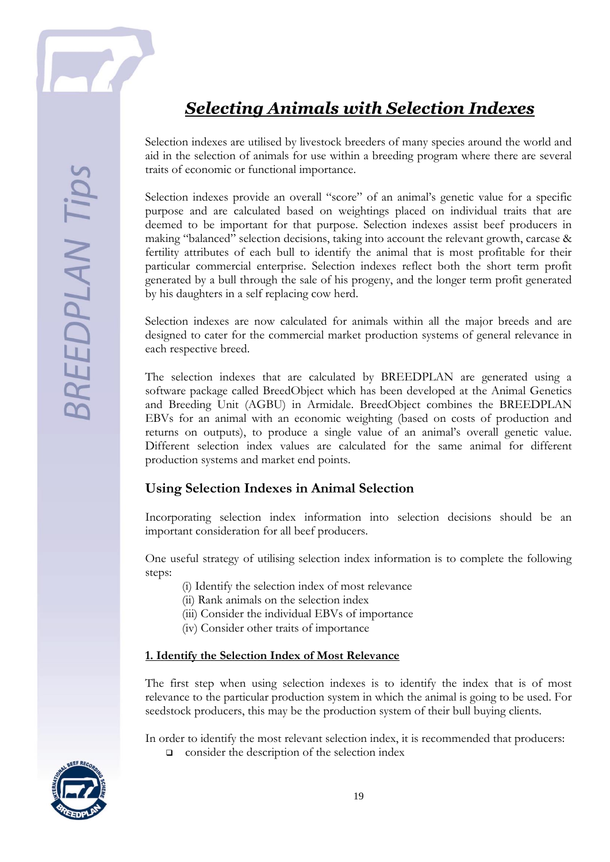

# *Selecting Animals with Selection Indexes*

Selection indexes are utilised by livestock breeders of many species around the world and aid in the selection of animals for use within a breeding program where there are several traits of economic or functional importance.

Selection indexes provide an overall "score" of an animal's genetic value for a specific purpose and are calculated based on weightings placed on individual traits that are deemed to be important for that purpose. Selection indexes assist beef producers in making "balanced" selection decisions, taking into account the relevant growth, carcase & fertility attributes of each bull to identify the animal that is most profitable for their particular commercial enterprise. Selection indexes reflect both the short term profit generated by a bull through the sale of his progeny, and the longer term profit generated by his daughters in a self replacing cow herd.

Selection indexes are now calculated for animals within all the major breeds and are designed to cater for the commercial market production systems of general relevance in each respective breed.

The selection indexes that are calculated by BREEDPLAN are generated using a software package called BreedObject which has been developed at the Animal Genetics and Breeding Unit (AGBU) in Armidale. BreedObject combines the BREEDPLAN EBVs for an animal with an economic weighting (based on costs of production and returns on outputs), to produce a single value of an animal's overall genetic value. Different selection index values are calculated for the same animal for different production systems and market end points.

## **Using Selection Indexes in Animal Selection**

Incorporating selection index information into selection decisions should be an important consideration for all beef producers.

One useful strategy of utilising selection index information is to complete the following steps:

- (i) Identify the selection index of most relevance
- (ii) Rank animals on the selection index
- (iii) Consider the individual EBVs of importance
- (iv) Consider other traits of importance

#### **1. Identify the Selection Index of Most Relevance**

The first step when using selection indexes is to identify the index that is of most relevance to the particular production system in which the animal is going to be used. For seedstock producers, this may be the production system of their bull buying clients.

In order to identify the most relevant selection index, it is recommended that producers:  $\Box$  consider the description of the selection index

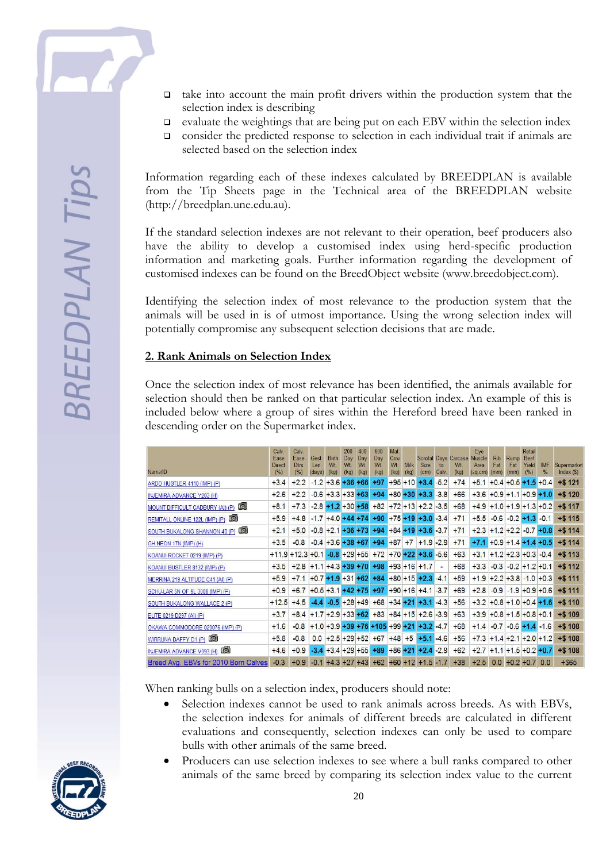- $\Box$  take into account the main profit drivers within the production system that the selection index is describing
- $\Box$  evaluate the weightings that are being put on each EBV within the selection index
- consider the predicted response to selection in each individual trait if animals are selected based on the selection index

Information regarding each of these indexes calculated by BREEDPLAN is available from the Tip Sheets page in the Technical area of the BREEDPLAN website (http://breedplan.une.edu.au).

If the standard selection indexes are not relevant to their operation, beef producers also have the ability to develop a customised index using herd-specific production information and marketing goals. Further information regarding the development of customised indexes can be found on the BreedObject website (www.breedobject.com).

Identifying the selection index of most relevance to the production system that the animals will be used in is of utmost importance. Using the wrong selection index will potentially compromise any subsequent selection decisions that are made.

#### **2. Rank Animals on Selection Index**

Once the selection index of most relevance has been identified, the animals available for selection should then be ranked on that particular selection index. An example of this is included below where a group of sires within the Hereford breed have been ranked in descending order on the Supermarket index.

| Name/ID                                | Calv<br>Ease<br><b>Direct</b><br>(%) | Calv.<br>Ease<br><b>Dtrs</b><br>(%) | Gest.<br>Len.<br>(days) | Birth<br>Wt<br>(kg)    | 200<br>Day<br>W <sub>t</sub><br>(kg) | 400<br>Day<br>W <sub>t</sub><br>(kg) | 600<br>Day<br>W <sub>t</sub><br>(kg) | Mat.<br>Cow<br>Wt.<br>(kg) | <b>Milk</b><br>(kg) | <b>Size</b><br>(cm)                                | to<br>Calv. | Scrotal Days Carcase Muscle<br>W <sub>t</sub><br>(kg) | Eye<br>Area<br>(sq.cm)     | <b>Rib</b><br>Fat<br>(mm) | Rump<br>Fat<br>(mm)      | Retail<br>Beef<br>Yield<br>(%) | <b>IMF</b><br>$\%$       | Supermarket<br>Index $(S)$ |
|----------------------------------------|--------------------------------------|-------------------------------------|-------------------------|------------------------|--------------------------------------|--------------------------------------|--------------------------------------|----------------------------|---------------------|----------------------------------------------------|-------------|-------------------------------------------------------|----------------------------|---------------------------|--------------------------|--------------------------------|--------------------------|----------------------------|
| ARDO HUSTLER 4110 (IMP) (P)            | $+3.4$                               | $+2.2$                              | $-1.2$                  | $+3.6$                 |                                      | $+36+66$                             | $+97$                                |                            | $+95 + 10$          | $+3.4$                                             | $-5.2$      | $+74$                                                 | $+5.1$                     |                           | $+0.4 + 0.5$             |                                | $+1.5 + 0.4$             | $+ $121$                   |
| INJEMIRA ADVANCE Y203 (H)              | $+2.6$                               | $+2.2$                              |                         | $-0.6$ +3.3 +33 +63    |                                      |                                      | $+94$                                | $+80 + 30$                 |                     | $+3.3 - 3.8$                                       |             | $+66$                                                 | $+3.6$                     |                           | $+0.9 + 1.1$             |                                | $+0.9 + 1.0$             | $+ $120$                   |
| œ.<br>MOUNT DIFFICULT CADBURY (AI) (P) | $+8.1$                               | $+7.3$                              |                         | $-2.8$ +1.2 +30 +58    |                                      |                                      | $+82$                                | $+72 + 13$                 |                     | $+2.2 - 3.5$                                       |             | $+68$                                                 | $+4.9$                     |                           |                          |                                | $+1.0 + 1.9 + 1.3 + 0.2$ | $+ $ 117$                  |
| œ<br>REMITALL ONLINE 122L (IMP) (P)    | $+5.9$                               | $+4.8$                              | $-1.7$                  | $+4.0 + 44 + 74$       |                                      |                                      | $+90$                                |                            |                     | $+75 + 19 + 3.0 - 3.4$                             |             | $+71$                                                 | $+5.5$                     | $-0.6$                    | $-0.2 + 1.3$             |                                | $-0.1$                   | $+ $115$                   |
| œ.<br>SOUTH BUKALONG SHANNON 40 (P)    | $+2.1$                               | $+5.0$                              | $-0.8$                  | $+2.1 + 36 + 73$       |                                      |                                      | $+94$                                |                            |                     | $+84 + 19 + 3.6 - 3.7$                             |             | $+71$                                                 | $+2.3$ +1.2 +2.2           |                           |                          |                                | $-0.7 + 0.8$             | $+ $114$                   |
| GH NEON 17N (IMP) (H)                  | $+3.5$                               | $-0.8$                              |                         | $-0.4$ +3.6 +38 +67    |                                      |                                      | $+94$                                | $+87$                      | $+7$                | $+1.9 - 2.9$                                       |             | $+71$                                                 | $+7.1$                     |                           |                          |                                | $+0.9 + 1.4 + 1.4 + 0.5$ | $+ $114$                   |
| KOANUI ROCKET 0219 (IMP) (P)           | $+11.9$                              | $+12.3$                             |                         | $+0.1$ -0.8 +29 +55    |                                      |                                      | $+72$ +70 +22                        |                            |                     | $+3.6 - 5.6$                                       |             | $+63$                                                 | $+3.1$                     |                           | $+1.2 + 2.3 + 0.3 - 0.4$ |                                |                          | $+ $113$                   |
| KOANUI BUSTLER 8132 (IMP) (P)          | $+3.5$                               | $+2.8$                              |                         | $+1.1 + 4.3 + 39 + 70$ |                                      |                                      | $+98$                                |                            |                     | $+93 + 16 + 1.7$                                   |             | $+68$                                                 | $+3.3$                     | $-0.3$                    |                          |                                | $-0.2 + 1.2 + 0.1$       | $+ $112$                   |
| MERRINA 219 ALTITUDE C41 (AI) (P)      | $+5.9$                               | $+7.1$                              |                         | $+0.7 +1.9 +31 +62$    |                                      |                                      | $+84$                                |                            |                     | $+80 + 15 + 2.3 - 4.1$                             |             | $+59$                                                 | $+1.9$                     |                           |                          |                                | $+2.2 + 3.8 - 1.0 + 0.3$ | $+ $111$                   |
| SCHU-LAR 5N OF 9L 3008 (IMP) (P)       | $+0.9$                               | $+6.7$                              |                         | $+0.5 + 3.1 + 42 + 75$ |                                      |                                      | $+97$                                |                            |                     | $+90 + 16 + 4.1 - 3.7$                             |             | $+69$                                                 | $+2.8$                     |                           |                          |                                | $-0.9$ $-1.9$ +0.9 +0.6  | $+ $111$                   |
| SOUTH BUKALONG WALLACE 2 (P)           | $+12.5$                              | $+4.5$                              | $-4.4$                  |                        |                                      | $-0.5$ +28 +49                       |                                      |                            |                     | $+68$ +34 +21 +3.1                                 | $-4.3$      | $+56$                                                 | $+3.2$ +0.8 +1.0 +0.4 +1.6 |                           |                          |                                |                          | $+ $110$                   |
| ELITE 0219 D297 (AI) (P)               | $+3.7$                               | $+8.4$                              |                         | $+1.7 + 2.9 + 33 + 62$ |                                      |                                      | $+83$ +84 +15                        |                            |                     | $+2.6 - 3.9$                                       |             | $+63$                                                 | $+3.9$ +0.8 +1.5 +0.8 +0.1 |                           |                          |                                |                          | $+ $109$                   |
| OKAWA COMMODORE 020076 (IMP) (P)       | $+1.6$                               | $-0.8$                              |                         |                        |                                      |                                      |                                      |                            |                     | $+1.0 + 3.9 + 39 + 76 + 105 + 99 + 21 + 3.2 - 4.7$ |             | $+68$                                                 | $+1.4$                     | $-0.7$                    |                          |                                | $-0.6 + 1.4 - 1.6$       | $+ $108$                   |
| WIRRUNA DAFFY D1 (P)                   | $+5.8$                               | $-0.8$                              | 0.0                     | $+2.5 + 29 + 52$       |                                      |                                      | $+67$                                | $+48$                      | $+5$                | $+5.1 - 4.6$                                       |             | $+56$                                                 | $+7.3$ +1.4 +2.1 +2.0 +1.2 |                           |                          |                                |                          | $+ $108$                   |
| (c)<br>INJEMIRA ADVANCE V093 (H)       | $+4.6$                               | $+0.9$                              | $-3.4$                  | $+3.4 + 29 + 55$       |                                      |                                      | $+89$                                | $+86 + 21$                 |                     | $+2.4 -2.9$                                        |             | $+62$                                                 | $+2.7$ +1.1 +1.5 +0.2 +0.7 |                           |                          |                                |                          | $+ $108$                   |
| Breed Avg. EBVs for 2010 Born Calves   | $-0.3$                               | $+0.9$                              | $-0.1$                  | $+4.3 +27 +43$         |                                      |                                      |                                      |                            |                     | $+62$ +60 +12 +1.5 -1.7                            |             | $+38$                                                 | $+2.5$                     |                           | $0.0 + 0.2 + 0.7$        |                                | 0.0                      | $+ $65$                    |

When ranking bulls on a selection index, producers should note:

- Selection indexes cannot be used to rank animals across breeds. As with EBVs, the selection indexes for animals of different breeds are calculated in different evaluations and consequently, selection indexes can only be used to compare bulls with other animals of the same breed.
- Producers can use selection indexes to see where a bull ranks compared to other animals of the same breed by comparing its selection index value to the current

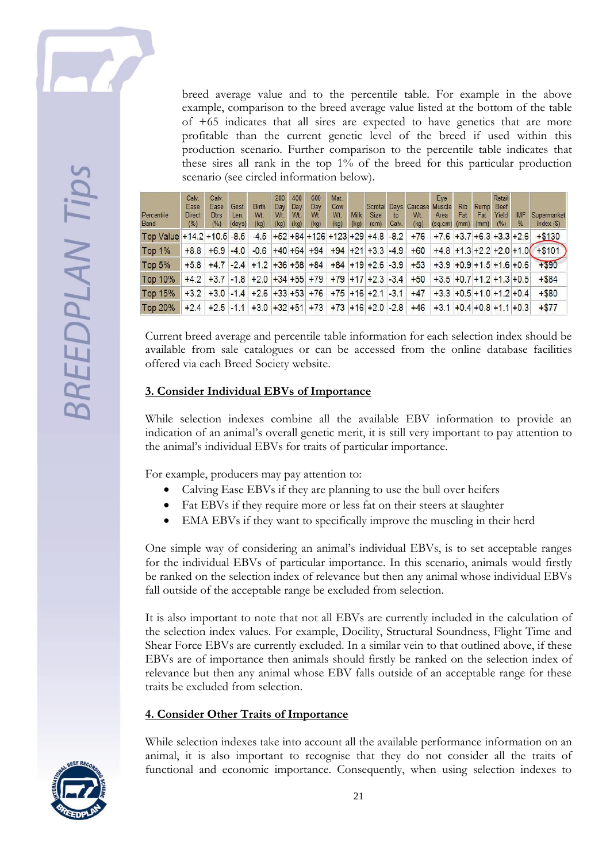

breed average value and to the percentile table. For example in the above example, comparison to the breed average value listed at the bottom of the table of +65 indicates that all sires are expected to have genetics that are more profitable than the current genetic level of the breed if used within this production scenario. Further comparison to the percentile table indicates that these sires all rank in the top 1% of the breed for this particular production scenario (see circled information below).

| Percentile<br><b>Band</b>      | Calv.<br>Ease<br><b>Direct</b><br>(%) | Calv.<br>Ease<br><b>Dtrs</b><br>(%)                 | Gest.<br>Len.<br>(days) | <b>Birth</b><br>W <sub>t</sub><br>(kq) | 200<br>Day<br>Wt.<br>(kq) | 400<br>Day<br>W <sub>t</sub><br>(kq) | 600<br>Day<br>W <sub>t</sub><br>(kq) | Mat.<br>Cow<br>W <sub>t</sub><br>(kg) | <b>Milk</b><br>(kg) | <b>Size</b><br>(c <sub>m</sub> )       | $\mathsf{to}$<br>Calv. | Scrotal Days Carcase Muscle<br>W <sub>t</sub><br>(kq)   | Eve<br>Area<br>(sq.cm)         | <b>Rib</b><br>Fat<br>(mm) | Rump<br>Fat<br>(mm) | Retail<br>Beef<br>Yield<br>(%) | <b>IMF</b><br>$\frac{9}{6}$ | Supermarket<br>Index()             |
|--------------------------------|---------------------------------------|-----------------------------------------------------|-------------------------|----------------------------------------|---------------------------|--------------------------------------|--------------------------------------|---------------------------------------|---------------------|----------------------------------------|------------------------|---------------------------------------------------------|--------------------------------|---------------------------|---------------------|--------------------------------|-----------------------------|------------------------------------|
| Top Value $+14.2 + 10.5 - 8.5$ |                                       |                                                     |                         |                                        |                           |                                      |                                      |                                       |                     | $-4.5$ +52 +84 +126 +123 +29 +4.8 -8.2 |                        | $+76$                                                   | $+7.6$ +3.7 +6.3 +3.3 +2.6     |                           |                     |                                |                             | $+ $130$                           |
| <b>Top 1%</b>                  | $+8.8$                                | $+6.9$ $-4.0$                                       |                         |                                        |                           |                                      |                                      |                                       |                     | $-0.6$ +40 +64 +94 +94 +21 +3.3 -4.9   |                        | $+60$                                                   |                                |                           |                     |                                |                             | $+4.8$ +1.3 +2.2 +2.0 +1.0 + \$101 |
| Top $5%$                       |                                       | $+5.8$ +4.7 -2.4 +1.2 +36 +58 +84 +84 +19 +2.6 -3.9 |                         |                                        |                           |                                      |                                      |                                       |                     |                                        |                        | $+53$                                                   | $+3.9$ +0.9 +1.5 +1.6 +0.6     |                           |                     |                                |                             | $+ $90$                            |
| Top 10%                        |                                       | $+4.2$ +3.7 -1.8 +2.0 +34 +55 +79 +79 +17 +2.3 -3.4 |                         |                                        |                           |                                      |                                      |                                       |                     |                                        |                        | $+50$                                                   | $+3.5$ +0.7 +1.2 +1.3 +0.5     |                           |                     |                                |                             | $+ $84$                            |
| Top 15%                        |                                       | $+3.2$ +3.0 -1.4 +2.6 +33 +53 +76 +75 +16 +2.1 -3.1 |                         |                                        |                           |                                      |                                      |                                       |                     |                                        |                        | $+47$                                                   | $+3.3$ +0.5 +1.0 +1.2 +0.4     |                           |                     |                                |                             | $+ $80$                            |
| Top 20%                        |                                       |                                                     |                         |                                        |                           |                                      |                                      |                                       |                     |                                        |                        | $+2.4$ +2.5 -1.1 +3.0 +32 +51 +73 +73 +16 +2.0 -2.8 +46 | $+3.1$ + 0.4 + 0.8 + 1.1 + 0.3 |                           |                     |                                |                             | $+ $77$                            |

Current breed average and percentile table information for each selection index should be available from sale catalogues or can be accessed from the online database facilities offered via each Breed Society website.

#### **3. Consider Individual EBVs of Importance**

While selection indexes combine all the available EBV information to provide an indication of an animal's overall genetic merit, it is still very important to pay attention to the animal's individual EBVs for traits of particular importance.

For example, producers may pay attention to:

- Calving Ease EBVs if they are planning to use the bull over heifers
- Fat EBVs if they require more or less fat on their steers at slaughter
- EMA EBVs if they want to specifically improve the muscling in their herd

One simple way of considering an animal's individual EBVs, is to set acceptable ranges for the individual EBVs of particular importance. In this scenario, animals would firstly be ranked on the selection index of relevance but then any animal whose individual EBVs fall outside of the acceptable range be excluded from selection.

It is also important to note that not all EBVs are currently included in the calculation of the selection index values. For example, Docility, Structural Soundness, Flight Time and Shear Force EBVs are currently excluded. In a similar vein to that outlined above, if these EBVs are of importance then animals should firstly be ranked on the selection index of relevance but then any animal whose EBV falls outside of an acceptable range for these traits be excluded from selection.

### **4. Consider Other Traits of Importance**

While selection indexes take into account all the available performance information on an animal, it is also important to recognise that they do not consider all the traits of functional and economic importance. Consequently, when using selection indexes to